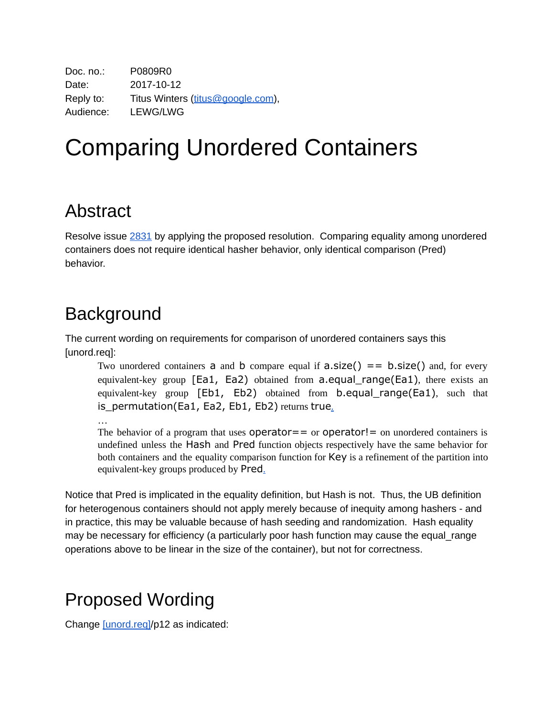Doc. no.: P0809R0 Date: 2017-10-12 Reply to: Titus Winters [\(titus@google.com](mailto:titus@google.com)), Audience: LEWG/LWG

## Comparing Unordered Containers

## Abstract

Resolve issue [2831](https://cplusplus.github.io/LWG/lwg-active.html#2831) by applying the proposed resolution. Comparing equality among unordered containers does not require identical hasher behavior, only identical comparison (Pred) behavior.

## Background

The current wording on requirements for comparison of unordered containers says this [unord.req]:

Two unordered containers **a** and **b** compare equal if  $a.size() == b.size()$  and, for every equivalent-key group  $[Ed1, Ed2]$  obtained from a.equal range(Ea1), there exists an equivalent-key group [Eb1, Eb2) obtained from b.equal\_range(Ea1), such that is\_permutation(Ea1, Ea2, Eb1, Eb2) returns true[.](http://eel.is/c++draft/unord.req#12.sentence-1)

…

The behavior of a program that uses  $operator =$  or  $operator =$  or  $operator =$   $\frac{1}{1}$  on unordered containers is undefined unless the Hash and Pred function objects respectively have the same behavior for both containers and the equality comparison function for Key is a refinement of the partition into equivalent-key groups produced by Pred[.](http://eel.is/c++draft/unord.req#12.sentence-5)

Notice that Pred is implicated in the equality definition, but Hash is not. Thus, the UB definition for heterogenous containers should not apply merely because of inequity among hashers - and in practice, this may be valuable because of hash seeding and randomization. Hash equality may be necessary for efficiency (a particularly poor hash function may cause the equal\_range operations above to be linear in the size of the container), but not for correctness.

## Proposed Wording

Change [\[unord.req\]](https://wg21.link/unord.req)/p12 as indicated: